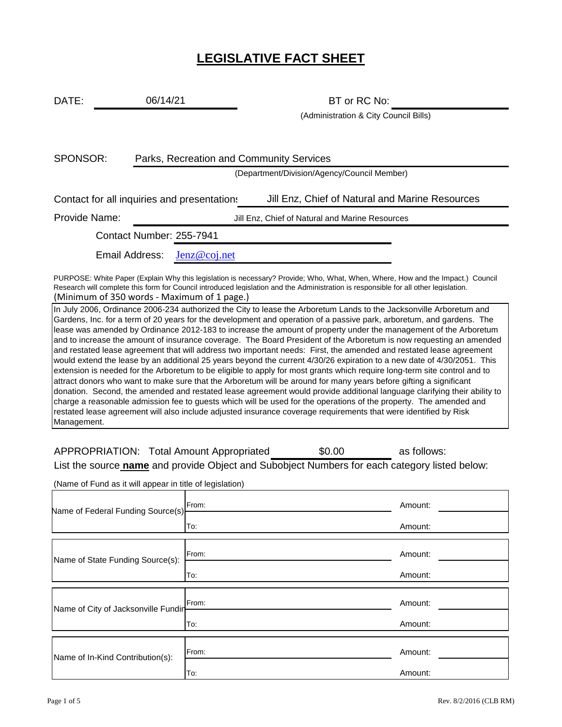# **LEGISLATIVE FACT SHEET**

DATE: 06/14/21 BT or RC No: 06/14/21

(Administration & City Council Bills)

SPONSOR: Contact Number: 255-7941 Email Address: Iolenz@coj.net Parks, Recreation and Community Services (Department/Division/Agency/Council Member) Contact for all inquiries and presentations Jill Enz, Chief of Natural and Marine Resources Provide Name: Jill Enz, Chief of Natural and Marine Resources PURPOSE: White Paper (Explain Why this legislation is necessary? Provide; Who, What, When, Where, How and the Impact.) Council

(Minimum of 350 words - Maximum of 1 page.) Research will complete this form for Council introduced legislation and the Administration is responsible for all other legislation.

In July 2006, Ordinance 2006-234 authorized the City to lease the Arboretum Lands to the Jacksonville Arboretum and Gardens, Inc. for a term of 20 years for the development and operation of a passive park, arboretum, and gardens. The lease was amended by Ordinance 2012-183 to increase the amount of property under the management of the Arboretum and to increase the amount of insurance coverage. The Board President of the Arboretum is now requesting an amended and restated lease agreement that will address two important needs: First, the amended and restated lease agreement would extend the lease by an additional 25 years beyond the current 4/30/26 expiration to a new date of 4/30/2051. This extension is needed for the Arboretum to be eligible to apply for most grants which require long-term site control and to attract donors who want to make sure that the Arboretum will be around for many years before gifting a significant donation. Second, the amended and restated lease agreement would provide additional language clarifying their ability to charge a reasonable admission fee to guests which will be used for the operations of the property. The amended and restated lease agreement will also include adjusted insurance coverage requirements that were identified by Risk Management.

APPROPRIATION: Total Amount Appropriated  $$0.00$  as follows: \$0.00

List the source **name** and provide Object and Subobject Numbers for each category listed below:

(Name of Fund as it will appear in title of legislation)

| Name of Federal Funding Source(s)   | From: | Amount: |
|-------------------------------------|-------|---------|
|                                     | To:   | Amount: |
| Name of State Funding Source(s):    | From: | Amount: |
|                                     | To:   | Amount: |
| Name of City of Jacksonville Fundin | From: | Amount: |
|                                     | To:   | Amount: |
| Name of In-Kind Contribution(s):    | From: | Amount: |
|                                     | To:   | Amount: |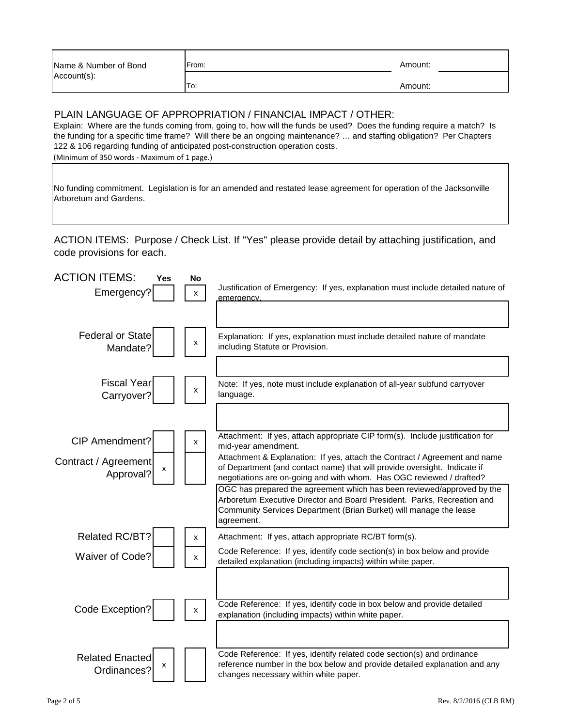| Name & Number of Bond | From: | Amount: |
|-----------------------|-------|---------|
| Account(s):           | To:   | Amount: |
|                       |       |         |

#### PLAIN LANGUAGE OF APPROPRIATION / FINANCIAL IMPACT / OTHER:

Explain: Where are the funds coming from, going to, how will the funds be used? Does the funding require a match? Is the funding for a specific time frame? Will there be an ongoing maintenance? … and staffing obligation? Per Chapters 122 & 106 regarding funding of anticipated post-construction operation costs.

(Minimum of 350 words - Maximum of 1 page.)

No funding commitment. Legislation is for an amended and restated lease agreement for operation of the Jacksonville Arboretum and Gardens.

ACTION ITEMS: Purpose / Check List. If "Yes" please provide detail by attaching justification, and code provisions for each.

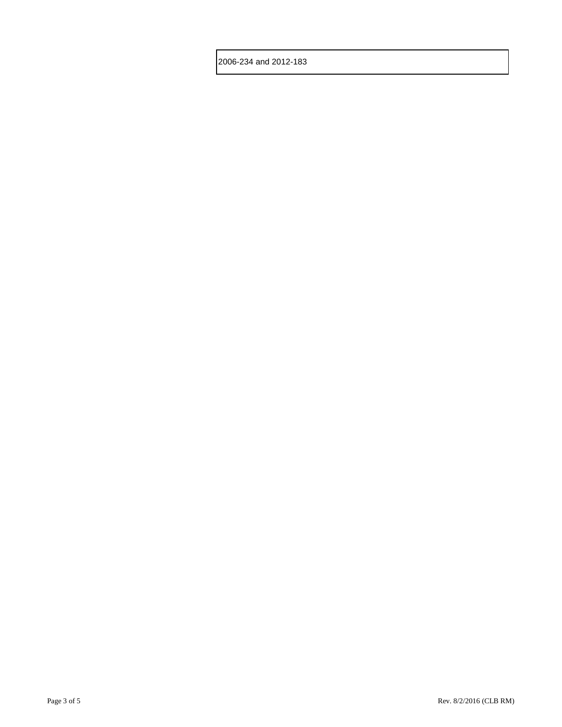2006-234 and 2012-183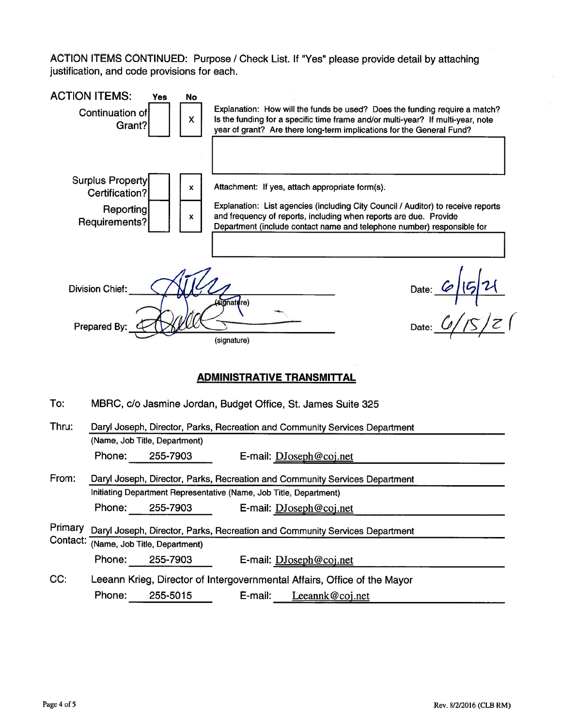ACTION ITEMS CONTINUED: Purpose / Check List. If "Yes" please provide detail by attaching justification, and code provisions for each.

| <b>ACTION ITEMS:</b>                                                        | Continuation of<br>Grant?                                                   | Yes<br>No<br>X |  | Explanation: How will the funds be used? Does the funding require a match?<br>Is the funding for a specific time frame and/or multi-year? If multi-year, note<br>year of grant? Are there long-term implications for the General Fund?                                             |  |
|-----------------------------------------------------------------------------|-----------------------------------------------------------------------------|----------------|--|------------------------------------------------------------------------------------------------------------------------------------------------------------------------------------------------------------------------------------------------------------------------------------|--|
|                                                                             | <b>Surplus Property</b><br>Certification?<br>Reporting<br>Requirements?     | X.<br>x        |  | Attachment: If yes, attach appropriate form(s).<br>Explanation: List agencies (including City Council / Auditor) to receive reports<br>and frequency of reports, including when reports are due. Provide<br>Department (include contact name and telephone number) responsible for |  |
| Date: $6/5/2$<br>Division Chief:<br>gnature)<br>Prepared By:<br>(signature) |                                                                             |                |  |                                                                                                                                                                                                                                                                                    |  |
|                                                                             |                                                                             |                |  | <b>ADMINISTRATIVE TRANSMITTAL</b>                                                                                                                                                                                                                                                  |  |
| To:                                                                         |                                                                             |                |  | MBRC, c/o Jasmine Jordan, Budget Office, St. James Suite 325                                                                                                                                                                                                                       |  |
| Thru:                                                                       |                                                                             |                |  | Daryl Joseph, Director, Parks, Recreation and Community Services Department                                                                                                                                                                                                        |  |
|                                                                             | (Name, Job Title, Department)                                               |                |  |                                                                                                                                                                                                                                                                                    |  |
|                                                                             | Phone:                                                                      | 255-7903       |  | E-mail: DJoseph@coj.net                                                                                                                                                                                                                                                            |  |
| From:                                                                       | Daryl Joseph, Director, Parks, Recreation and Community Services Department |                |  |                                                                                                                                                                                                                                                                                    |  |
|                                                                             |                                                                             |                |  | Initiating Department Representative (Name, Job Title, Department)                                                                                                                                                                                                                 |  |
|                                                                             | Phone: 255-7903                                                             |                |  | E-mail: DJoseph@coj.net                                                                                                                                                                                                                                                            |  |
|                                                                             |                                                                             |                |  | Primary Daryl Joseph, Director, Parks, Recreation and Community Services Department                                                                                                                                                                                                |  |

- CONTACT: (Name, Job Title, Department) Phone: 255-7903 E-mail: DJoseph@coj.net
- Leeann Krieg, Director of Intergovernmental Affairs, Office of the Mayor CC: Phone: 255-5015 E-mail: Leeannk@coj.net

 $\bar{z}$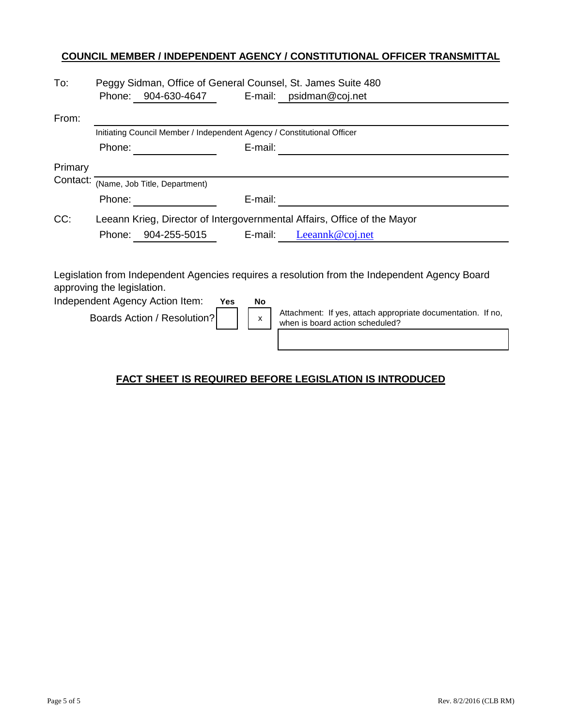### **COUNCIL MEMBER / INDEPENDENT AGENCY / CONSTITUTIONAL OFFICER TRANSMITTAL**

| To:     | Peggy Sidman, Office of General Counsel, St. James Suite 480            |                     |         |                                                                          |
|---------|-------------------------------------------------------------------------|---------------------|---------|--------------------------------------------------------------------------|
|         | Phone:                                                                  | 904-630-4647        |         | E-mail: $psilon@coj.net$                                                 |
| From:   |                                                                         |                     |         |                                                                          |
|         | Initiating Council Member / Independent Agency / Constitutional Officer |                     |         |                                                                          |
|         | Phone:                                                                  |                     | E-mail: |                                                                          |
| Primary |                                                                         |                     |         |                                                                          |
|         | Contact: (Name, Job Title, Department)                                  |                     |         |                                                                          |
|         | Phone:                                                                  |                     | E-mail: |                                                                          |
| CC:     |                                                                         |                     |         | Leeann Krieg, Director of Intergovernmental Affairs, Office of the Mayor |
|         |                                                                         | Phone: 904-255-5015 | E-mail: | Leeannk@coj.net                                                          |
|         |                                                                         |                     |         |                                                                          |

Legislation from Independent Agencies requires a resolution from the Independent Agency Board approving the legislation.

| Independent Agency Action Item: | Yes | No |                                                                                                 |
|---------------------------------|-----|----|-------------------------------------------------------------------------------------------------|
| Boards Action / Resolution?     |     |    | Attachment: If yes, attach appropriate documentation. If no,<br>when is board action scheduled? |
|                                 |     |    |                                                                                                 |

## **FACT SHEET IS REQUIRED BEFORE LEGISLATION IS INTRODUCED**